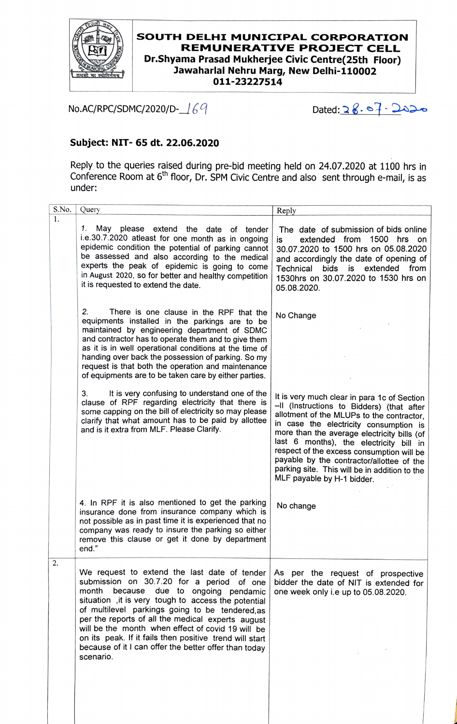

 $\mathbf{1}$ 

## **SOUTH DELHI MUNICIPAL CORPORATION REMUNERATIVE PROJECT CELL Dr.Shyama Prasad Mukherjee Civic Centre(25th Floor) lawaharlal Nehru Marg, New Delhi-110002 011-23227514**

No.AC/RPC/SDMC/2020/D-169

Dated: 28. 07. 2020

## **Subject: NIT- 65 dt. 22.06.2020**

Reply to the queries raised during pre-bid meeting held on 24.07.2020 at 1100 hrs in Conference Room at 6th floor, Dr. SPM Civic Centre and also sent through e-mail, is as under:

| Query                                                                                                                                                                                                                                                                                                                                                                                                                                                                                   | Reply                                                                                                                                                                                                                                                                                                                                                                                                                                              |
|-----------------------------------------------------------------------------------------------------------------------------------------------------------------------------------------------------------------------------------------------------------------------------------------------------------------------------------------------------------------------------------------------------------------------------------------------------------------------------------------|----------------------------------------------------------------------------------------------------------------------------------------------------------------------------------------------------------------------------------------------------------------------------------------------------------------------------------------------------------------------------------------------------------------------------------------------------|
| 1.<br>May please extend the date of tender<br>i.e.30.7.2020 atleast for one month as in ongoing<br>epidemic condition the potential of parking cannot<br>be assessed and also according to the medical<br>experts the peak of epidemic is going to come<br>in August 2020, so for better and healthy competition<br>it is requested to extend the date.                                                                                                                                 | The date of submission of bids online<br>extended from<br>1500 hrs<br>is<br>on on<br>30.07.2020 to 1500 hrs on 05.08.2020<br>and accordingly the date of opening of<br>bids<br>is extended<br>Technical<br>from<br>1530hrs on 30.07.2020 to 1530 hrs on<br>05.08.2020.                                                                                                                                                                             |
| 2.<br>There is one clause in the RPF that the<br>equipments installed in the parkings are to be<br>maintained by engineering department of SDMC<br>and contractor has to operate them and to give them<br>as it is in well operational conditions at the time of<br>handing over back the possession of parking. So my<br>request is that both the operation and maintenance<br>of equipments are to be taken care by either parties.                                                   | No Change                                                                                                                                                                                                                                                                                                                                                                                                                                          |
| It is very confusing to understand one of the<br>3.<br>clause of RPF regarding electricity that there is<br>some capping on the bill of electricity so may please<br>clarify that what amount has to be paid by allottee<br>and is it extra from MLF. Please Clarify.                                                                                                                                                                                                                   | It is very much clear in para 1c of Section<br>-Il (Instructions to Bidders) (that after<br>allotment of the MLUPs to the contractor,<br>in case the electricity consumption is<br>more than the average electricity bills (of<br>last 6 months), the electricity bill in<br>respect of the excess consumption will be<br>payable by the contractor/allottee of the<br>parking site. This will be in addition to the<br>MLF payable by H-1 bidder. |
| 4. In RPF it is also mentioned to get the parking<br>insurance done from insurance company which is<br>not possible as in past time it is experienced that no<br>company was ready to insure the parking so either<br>remove this clause or get it done by department<br>end."                                                                                                                                                                                                          | No change                                                                                                                                                                                                                                                                                                                                                                                                                                          |
| We request to extend the last date of tender<br>submission on 30.7.20 for a period of one<br>month because due to ongoing pendamic<br>situation, it is very tough to access the potential<br>of multilevel parkings going to be tendered, as<br>per the reports of all the medical experts august<br>will be the month when effect of covid 19 will be<br>on its peak. If it fails then positive trend will start<br>because of it I can offer the better offer than today<br>scenario. | As per the request of prospective<br>bidder the date of NIT is extended for<br>one week only i.e up to 05.08.2020.                                                                                                                                                                                                                                                                                                                                 |
|                                                                                                                                                                                                                                                                                                                                                                                                                                                                                         | S.No.                                                                                                                                                                                                                                                                                                                                                                                                                                              |